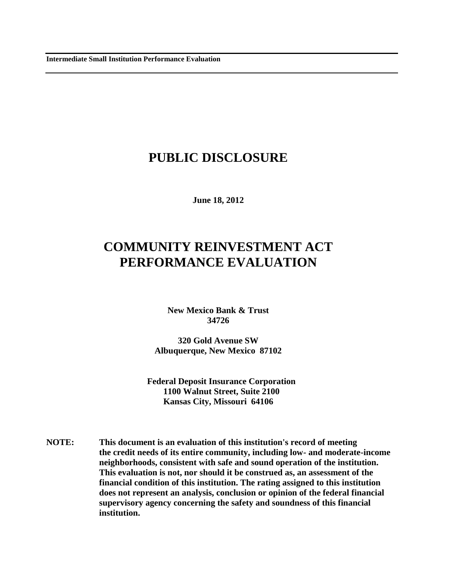## **PUBLIC DISCLOSURE**

**June 18, 2012**

# **COMMUNITY REINVESTMENT ACT PERFORMANCE EVALUATION**

**New Mexico Bank & Trust 34726**

**320 Gold Avenue SW Albuquerque, New Mexico 87102**

**Federal Deposit Insurance Corporation 1100 Walnut Street, Suite 2100 Kansas City, Missouri 64106**

**NOTE: This document is an evaluation of this institution's record of meeting the credit needs of its entire community, including low- and moderate-income neighborhoods, consistent with safe and sound operation of the institution. This evaluation is not, nor should it be construed as, an assessment of the financial condition of this institution. The rating assigned to this institution does not represent an analysis, conclusion or opinion of the federal financial supervisory agency concerning the safety and soundness of this financial institution.**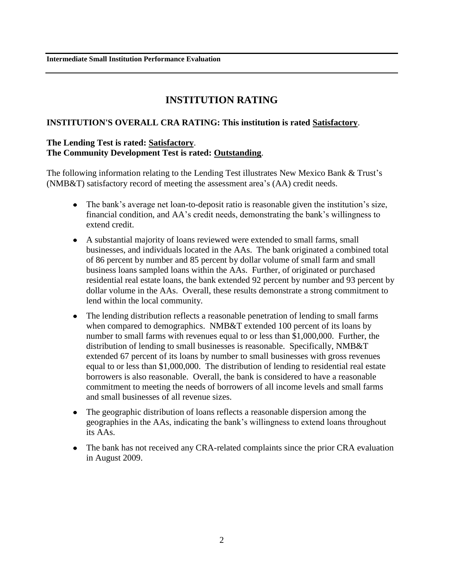**Intermediate Small Institution Performance Evaluation**

### **INSTITUTION RATING**

#### **INSTITUTION'S OVERALL CRA RATING: This institution is rated Satisfactory**.

#### **The Lending Test is rated: Satisfactory**. **The Community Development Test is rated: Outstanding**.

The following information relating to the Lending Test illustrates New Mexico Bank & Trust's (NMB&T) satisfactory record of meeting the assessment area's (AA) credit needs.

- The bank's average net loan-to-deposit ratio is reasonable given the institution's size, financial condition, and AA's credit needs, demonstrating the bank's willingness to extend credit.
- A substantial majority of loans reviewed were extended to small farms, small businesses, and individuals located in the AAs. The bank originated a combined total of 86 percent by number and 85 percent by dollar volume of small farm and small business loans sampled loans within the AAs. Further, of originated or purchased residential real estate loans, the bank extended 92 percent by number and 93 percent by dollar volume in the AAs. Overall, these results demonstrate a strong commitment to lend within the local community.
- The lending distribution reflects a reasonable penetration of lending to small farms when compared to demographics. NMB&T extended 100 percent of its loans by number to small farms with revenues equal to or less than \$1,000,000. Further, the distribution of lending to small businesses is reasonable. Specifically, NMB&T extended 67 percent of its loans by number to small businesses with gross revenues equal to or less than \$1,000,000. The distribution of lending to residential real estate borrowers is also reasonable. Overall, the bank is considered to have a reasonable commitment to meeting the needs of borrowers of all income levels and small farms and small businesses of all revenue sizes.
- The geographic distribution of loans reflects a reasonable dispersion among the geographies in the AAs, indicating the bank's willingness to extend loans throughout its AAs.
- The bank has not received any CRA-related complaints since the prior CRA evaluation in August 2009.